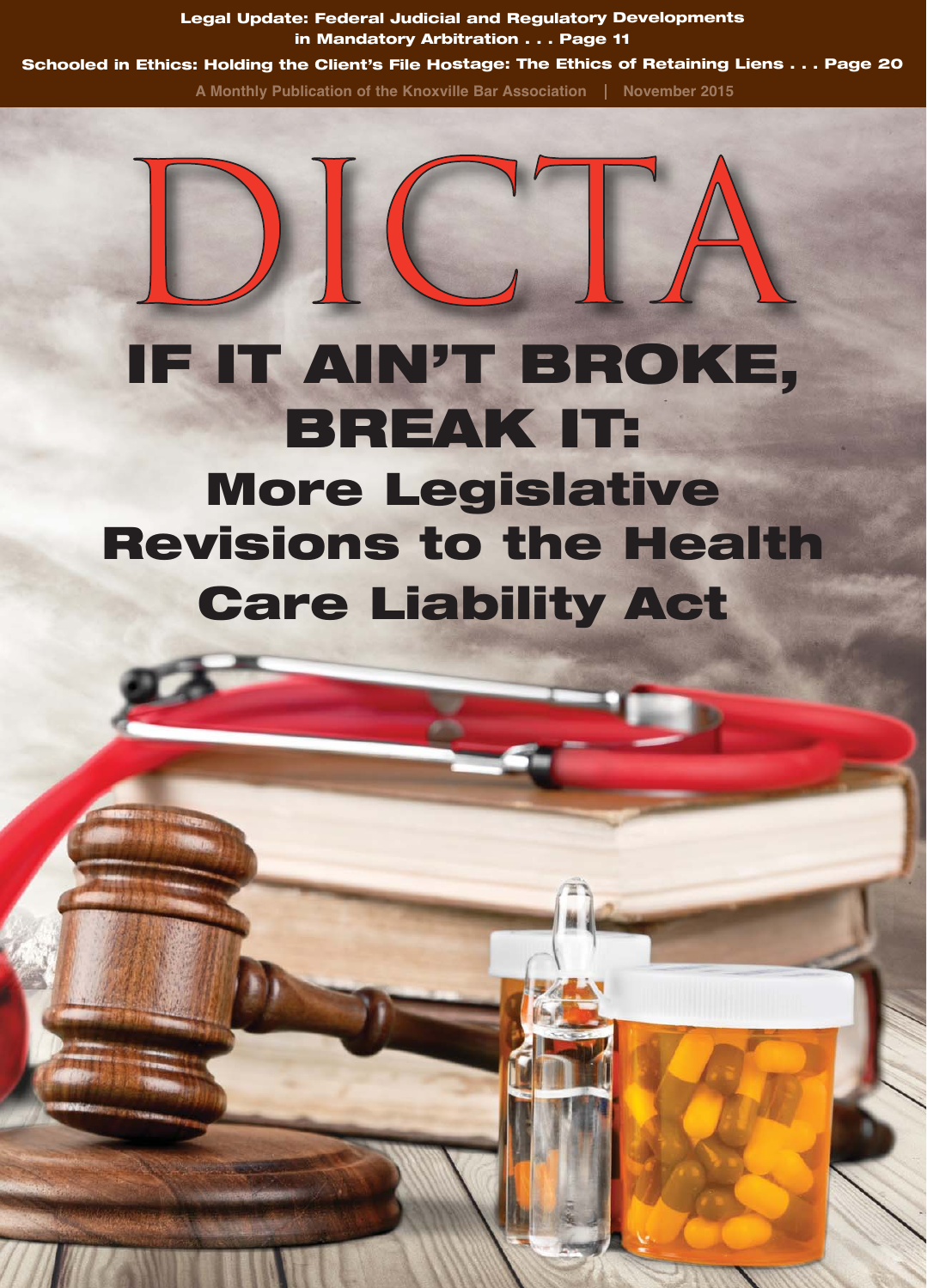**Legal Update: Federal Judicial and Regulatory Developments in Mandatory Arbitration . . . Page 11 Schooled in Ethics: Holding the Client's File Hostage: The Ethics of Retaining Liens . . . Page 20**

A Monthly Publication of the Knoxville Bar Association | November 2015

## **IF IT AIN'T BROKE, BREAK IT: More Legislative Revisions to the Health Care Liability Act**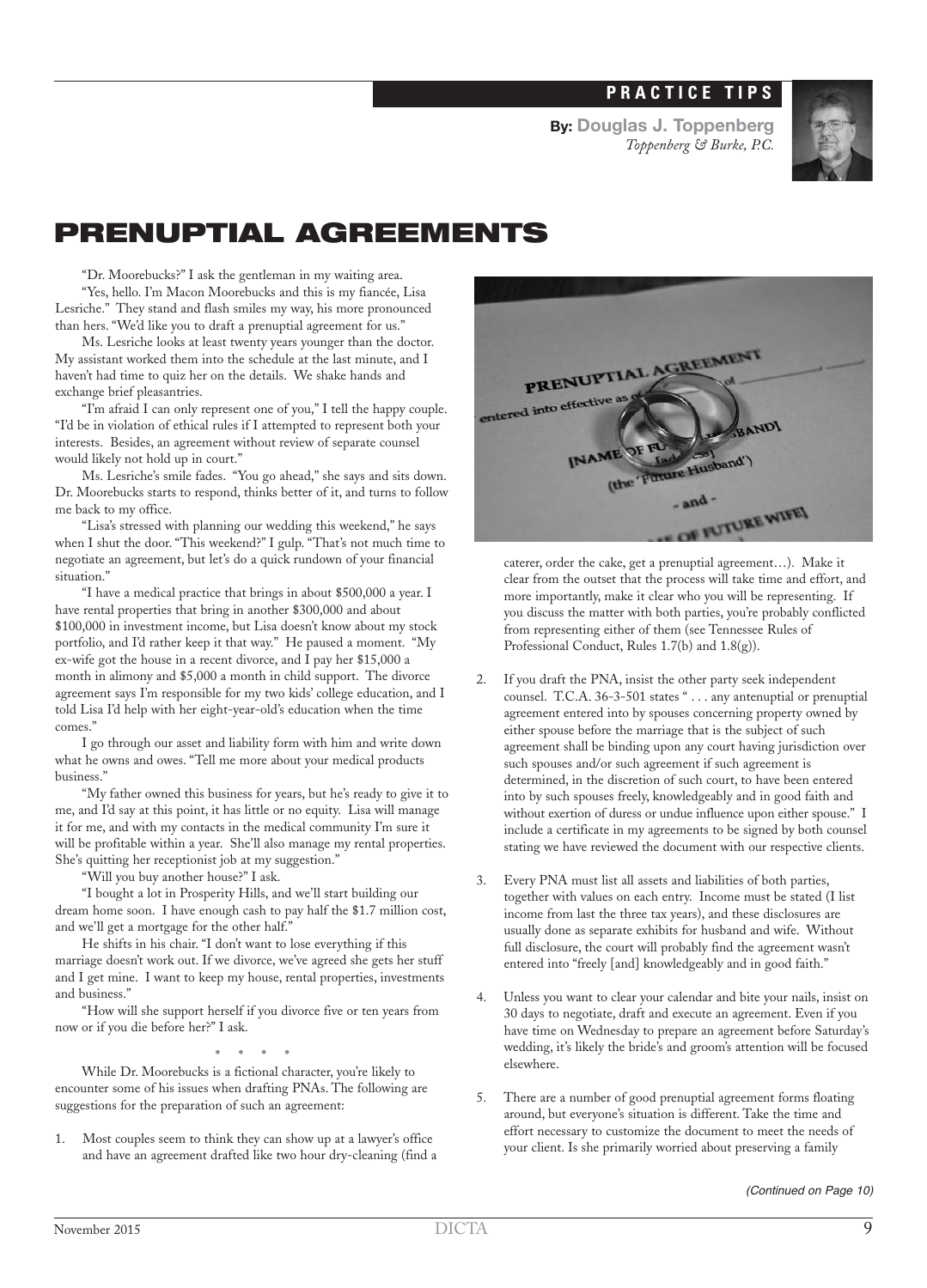## **PRACTICE TIPS**

**By: Douglas J. Toppenberg** *Toppenberg & Burke, P.C.*



## **PRENUPTIAL AGREEMENTS**

"Dr. Moorebucks?" I ask the gentleman in my waiting area.

"Yes, hello. I'm Macon Moorebucks and this is my fiancée, Lisa Lesriche." They stand and flash smiles my way, his more pronounced than hers. "We'd like you to draft a prenuptial agreement for us."

Ms. Lesriche looks at least twenty years younger than the doctor. My assistant worked them into the schedule at the last minute, and I haven't had time to quiz her on the details. We shake hands and exchange brief pleasantries.

"I'm afraid I can only represent one of you," I tell the happy couple. "I'd be in violation of ethical rules if I attempted to represent both your interests. Besides, an agreement without review of separate counsel would likely not hold up in court."

Ms. Lesriche's smile fades. "You go ahead," she says and sits down. Dr. Moorebucks starts to respond, thinks better of it, and turns to follow me back to my office.

"Lisa's stressed with planning our wedding this weekend," he says when I shut the door. "This weekend?" I gulp. "That's not much time to negotiate an agreement, but let's do a quick rundown of your financial situation."

"I have a medical practice that brings in about \$500,000 a year. I have rental properties that bring in another \$300,000 and about \$100,000 in investment income, but Lisa doesn't know about my stock portfolio, and I'd rather keep it that way." He paused a moment. "My ex-wife got the house in a recent divorce, and I pay her \$15,000 a month in alimony and \$5,000 a month in child support. The divorce agreement says I'm responsible for my two kids' college education, and I told Lisa I'd help with her eight-year-old's education when the time comes."

I go through our asset and liability form with him and write down what he owns and owes. "Tell me more about your medical products business."

"My father owned this business for years, but he's ready to give it to me, and I'd say at this point, it has little or no equity. Lisa will manage it for me, and with my contacts in the medical community I'm sure it will be profitable within a year. She'll also manage my rental properties. She's quitting her receptionist job at my suggestion."

"Will you buy another house?" I ask.

"I bought a lot in Prosperity Hills, and we'll start building our dream home soon. I have enough cash to pay half the \$1.7 million cost, and we'll get a mortgage for the other half."

He shifts in his chair. "I don't want to lose everything if this marriage doesn't work out. If we divorce, we've agreed she gets her stuff and I get mine. I want to keep my house, rental properties, investments and business."

"How will she support herself if you divorce five or ten years from now or if you die before her?" I ask.

\* \* \* \*

While Dr. Moorebucks is a fictional character, you're likely to encounter some of his issues when drafting PNAs. The following are suggestions for the preparation of such an agreement:

1. Most couples seem to think they can show up at a lawyer's office and have an agreement drafted like two hour dry-cleaning (find a



caterer, order the cake, get a prenuptial agreement…). Make it clear from the outset that the process will take time and effort, and more importantly, make it clear who you will be representing. If you discuss the matter with both parties, you're probably conflicted from representing either of them (see Tennessee Rules of Professional Conduct, Rules 1.7(b) and 1.8(g)).

- 2. If you draft the PNA, insist the other party seek independent counsel. T.C.A. 36-3-501 states " . . . any antenuptial or prenuptial agreement entered into by spouses concerning property owned by either spouse before the marriage that is the subject of such agreement shall be binding upon any court having jurisdiction over such spouses and/or such agreement if such agreement is determined, in the discretion of such court, to have been entered into by such spouses freely, knowledgeably and in good faith and without exertion of duress or undue influence upon either spouse." I include a certificate in my agreements to be signed by both counsel stating we have reviewed the document with our respective clients.
- Every PNA must list all assets and liabilities of both parties, together with values on each entry. Income must be stated (I list income from last the three tax years), and these disclosures are usually done as separate exhibits for husband and wife. Without full disclosure, the court will probably find the agreement wasn't entered into "freely [and] knowledgeably and in good faith."
- 4. Unless you want to clear your calendar and bite your nails, insist on 30 days to negotiate, draft and execute an agreement. Even if you have time on Wednesday to prepare an agreement before Saturday's wedding, it's likely the bride's and groom's attention will be focused elsewhere.
- 5. There are a number of good prenuptial agreement forms floating around, but everyone's situation is different. Take the time and effort necessary to customize the document to meet the needs of your client. Is she primarily worried about preserving a family

(Continued on Page 10)